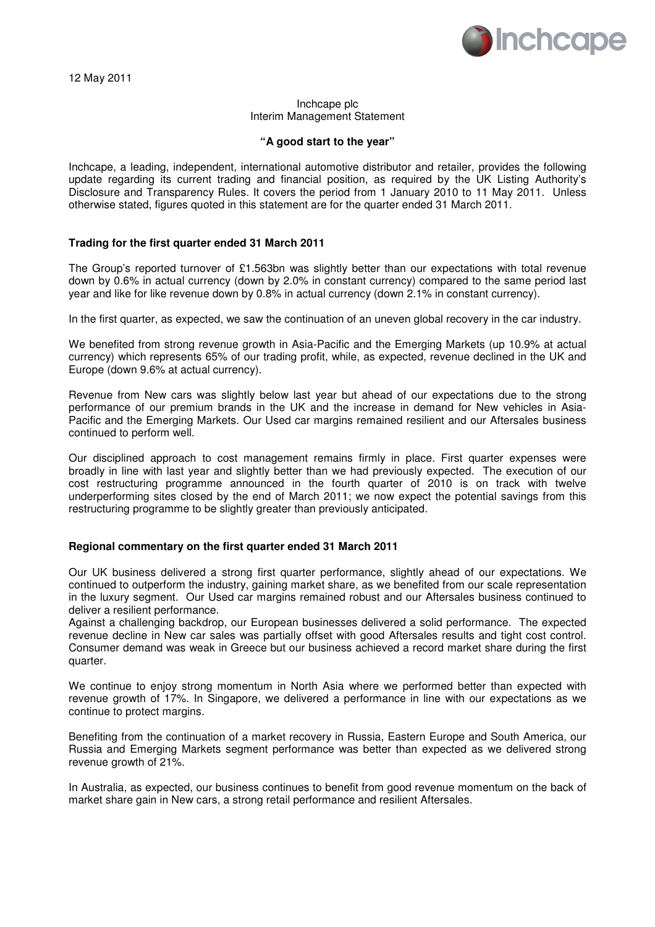

# Inchcape plc Interim Management Statement

### **"A good start to the year"**

Inchcape, a leading, independent, international automotive distributor and retailer, provides the following update regarding its current trading and financial position, as required by the UK Listing Authority's Disclosure and Transparency Rules. It covers the period from 1 January 2010 to 11 May 2011. Unless otherwise stated, figures quoted in this statement are for the quarter ended 31 March 2011.

### **Trading for the first quarter ended 31 March 2011**

The Group's reported turnover of £1.563bn was slightly better than our expectations with total revenue down by 0.6% in actual currency (down by 2.0% in constant currency) compared to the same period last year and like for like revenue down by 0.8% in actual currency (down 2.1% in constant currency).

In the first quarter, as expected, we saw the continuation of an uneven global recovery in the car industry.

We benefited from strong revenue growth in Asia-Pacific and the Emerging Markets (up 10.9% at actual currency) which represents 65% of our trading profit, while, as expected, revenue declined in the UK and Europe (down 9.6% at actual currency).

Revenue from New cars was slightly below last year but ahead of our expectations due to the strong performance of our premium brands in the UK and the increase in demand for New vehicles in Asia-Pacific and the Emerging Markets. Our Used car margins remained resilient and our Aftersales business continued to perform well.

Our disciplined approach to cost management remains firmly in place. First quarter expenses were broadly in line with last year and slightly better than we had previously expected. The execution of our cost restructuring programme announced in the fourth quarter of 2010 is on track with twelve underperforming sites closed by the end of March 2011; we now expect the potential savings from this restructuring programme to be slightly greater than previously anticipated.

### **Regional commentary on the first quarter ended 31 March 2011**

Our UK business delivered a strong first quarter performance, slightly ahead of our expectations. We continued to outperform the industry, gaining market share, as we benefited from our scale representation in the luxury segment. Our Used car margins remained robust and our Aftersales business continued to deliver a resilient performance.

Against a challenging backdrop, our European businesses delivered a solid performance. The expected revenue decline in New car sales was partially offset with good Aftersales results and tight cost control. Consumer demand was weak in Greece but our business achieved a record market share during the first quarter.

We continue to enjoy strong momentum in North Asia where we performed better than expected with revenue growth of 17%. In Singapore, we delivered a performance in line with our expectations as we continue to protect margins.

Benefiting from the continuation of a market recovery in Russia, Eastern Europe and South America, our Russia and Emerging Markets segment performance was better than expected as we delivered strong revenue growth of 21%.

In Australia, as expected, our business continues to benefit from good revenue momentum on the back of market share gain in New cars, a strong retail performance and resilient Aftersales.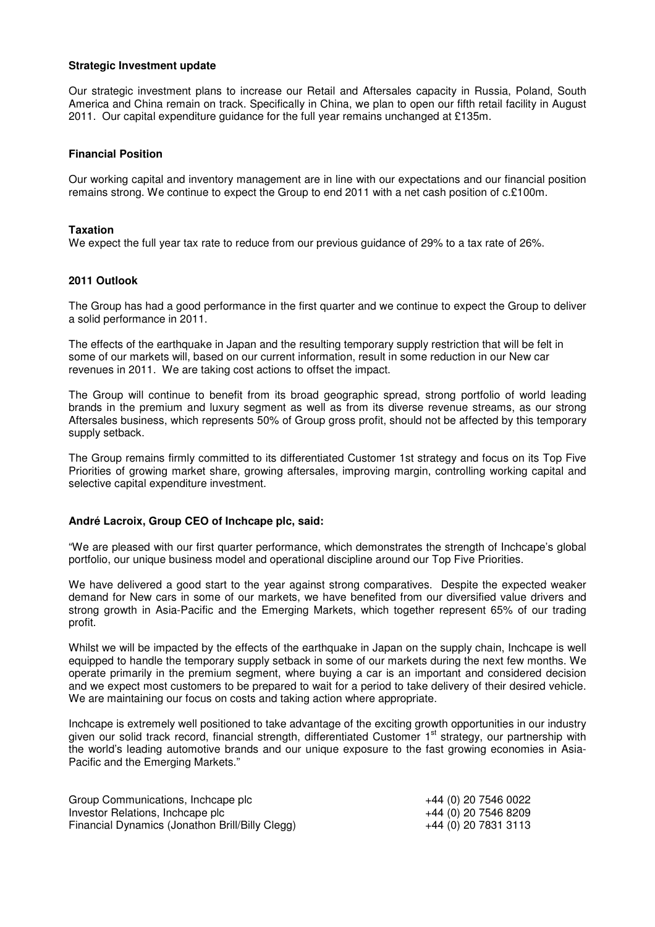## **Strategic Investment update**

Our strategic investment plans to increase our Retail and Aftersales capacity in Russia, Poland, South America and China remain on track. Specifically in China, we plan to open our fifth retail facility in August 2011. Our capital expenditure guidance for the full year remains unchanged at £135m.

## **Financial Position**

Our working capital and inventory management are in line with our expectations and our financial position remains strong. We continue to expect the Group to end 2011 with a net cash position of c.£100m.

## **Taxation**

We expect the full year tax rate to reduce from our previous guidance of 29% to a tax rate of 26%.

# **2011 Outlook**

The Group has had a good performance in the first quarter and we continue to expect the Group to deliver a solid performance in 2011.

The effects of the earthquake in Japan and the resulting temporary supply restriction that will be felt in some of our markets will, based on our current information, result in some reduction in our New car revenues in 2011. We are taking cost actions to offset the impact.

The Group will continue to benefit from its broad geographic spread, strong portfolio of world leading brands in the premium and luxury segment as well as from its diverse revenue streams, as our strong Aftersales business, which represents 50% of Group gross profit, should not be affected by this temporary supply setback.

The Group remains firmly committed to its differentiated Customer 1st strategy and focus on its Top Five Priorities of growing market share, growing aftersales, improving margin, controlling working capital and selective capital expenditure investment.

### **André Lacroix, Group CEO of Inchcape plc, said:**

"We are pleased with our first quarter performance, which demonstrates the strength of Inchcape's global portfolio, our unique business model and operational discipline around our Top Five Priorities.

We have delivered a good start to the year against strong comparatives. Despite the expected weaker demand for New cars in some of our markets, we have benefited from our diversified value drivers and strong growth in Asia-Pacific and the Emerging Markets, which together represent 65% of our trading profit.

Whilst we will be impacted by the effects of the earthquake in Japan on the supply chain, Inchcape is well equipped to handle the temporary supply setback in some of our markets during the next few months. We operate primarily in the premium segment, where buying a car is an important and considered decision and we expect most customers to be prepared to wait for a period to take delivery of their desired vehicle. We are maintaining our focus on costs and taking action where appropriate.

Inchcape is extremely well positioned to take advantage of the exciting growth opportunities in our industry given our solid track record, financial strength, differentiated Customer 1<sup>st</sup> strategy, our partnership with the world's leading automotive brands and our unique exposure to the fast growing economies in Asia-Pacific and the Emerging Markets."

| Group Communications, Incheape plc              | +44 (0) 20 7546 0022 |
|-------------------------------------------------|----------------------|
| Investor Relations, Inchcape plc                | +44 (0) 20 7546 8209 |
| Financial Dynamics (Jonathon Brill/Billy Clegg) | +44 (0) 20 7831 3113 |